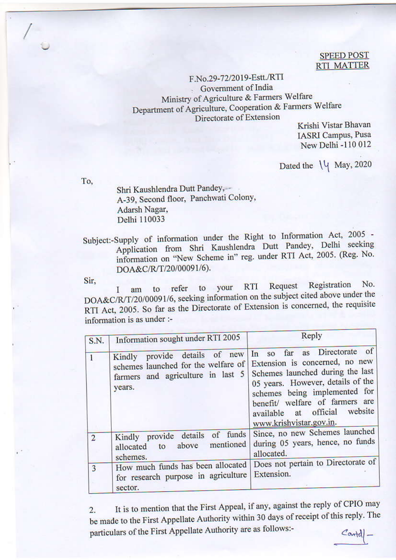## **SPEED POST RTI MATTER**

F.No.29-72/2019-Estt./RTI - Government of India Ministry of Agriculture & Farmers Welfare Department of Agriculture, Cooperation & Farmers Welfare Directorate of Extension

Krishi Vistar Bhavan **IASRI** Campus, Pusa New Delhi -110 012

Dated the \\q May, 2020

To.

Shri Kaushlendra Dutt Pandey, --A-39, Second floor, Panchwati Colony, Adarsh Nagar, Delhi 110033

Subject:-Supply of information under the Right to Information Act, 2005 -Application from Shri Kaushlendra Dutt Pandey, Delhi seeking information on "New Scheme in" reg. under RTI Act, 2005. (Reg. No. DOA&C/R/T/20/00091/6).

Sir.

Registration No. Request **RTI** your refer to Ι am to DOA&C/R/T/20/00091/6, seeking information on the subject cited above under the RTI Act, 2005. So far as the Directorate of Extension is concerned, the requisite information is as under :-

| S.N.           | Information sought under RTI 2005                                                                                      | Reply                                                                                                                                                                                                                                                                        |
|----------------|------------------------------------------------------------------------------------------------------------------------|------------------------------------------------------------------------------------------------------------------------------------------------------------------------------------------------------------------------------------------------------------------------------|
|                | new<br>Kindly provide details of<br>schemes launched for the welfare of<br>farmers and agriculture in last 5<br>years. | far as Directorate of<br>$\ln$ so<br>Extension is concerned, no new<br>Schemes launched during the last<br>05 years. However, details of the<br>schemes being implemented for<br>benefit/ welfare of farmers are<br>available at official website<br>www.krishvistar.gov.in. |
| $\overline{2}$ | Kindly provide details of funds<br>above mentioned<br>to<br>allocated<br>schemes.                                      | Since, no new Schemes launched<br>during 05 years, hence, no funds<br>allocated.                                                                                                                                                                                             |
| 3              | How much funds has been allocated<br>for research purpose in agriculture<br>sector.                                    | Does not pertain to Directorate of<br>Extension.                                                                                                                                                                                                                             |

It is to mention that the First Appeal, if any, against the reply of CPIO may  $2.$ be made to the First Appellate Authority within 30 days of receipt of this reply. The particulars of the First Appellate Authority are as follows:- $Contel$ .